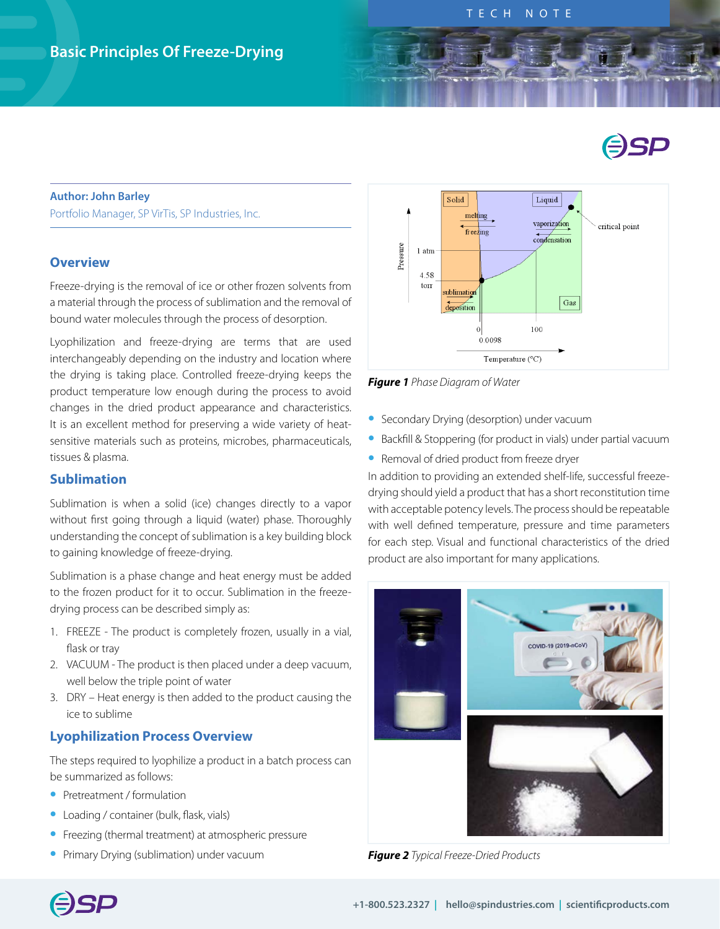# ESP

#### **Author: John Barley**

Portfolio Manager, SP VirTis, SP Industries, Inc.

#### **Overview**

Freeze-drying is the removal of ice or other frozen solvents from a material through the process of sublimation and the removal of bound water molecules through the process of desorption.

Lyophilization and freeze-drying are terms that are used interchangeably depending on the industry and location where the drying is taking place. Controlled freeze-drying keeps the product temperature low enough during the process to avoid changes in the dried product appearance and characteristics. It is an excellent method for preserving a wide variety of heatsensitive materials such as proteins, microbes, pharmaceuticals, tissues & plasma.

# **Sublimation**

Sublimation is when a solid (ice) changes directly to a vapor without first going through a liquid (water) phase. Thoroughly understanding the concept of sublimation is a key building block to gaining knowledge of freeze-drying.

Sublimation is a phase change and heat energy must be added to the frozen product for it to occur. Sublimation in the freezedrying process can be described simply as:

- 1. FREEZE The product is completely frozen, usually in a vial, flask or tray
- 2. VACUUM The product is then placed under a deep vacuum, well below the triple point of water
- 3. DRY Heat energy is then added to the product causing the ice to sublime

#### **Lyophilization Process Overview**

The steps required to lyophilize a product in a batch process can be summarized as follows:

- **•** Pretreatment / formulation
- **•** Loading / container (bulk, flask, vials)
- **•** Freezing (thermal treatment) at atmospheric pressure
- **•** Primary Drying (sublimation) under vacuum



*Figure 1 Phase Diagram of Water*

- **•** Secondary Drying (desorption) under vacuum
- **•** Backfill & Stoppering (for product in vials) under partial vacuum
- **•** Removal of dried product from freeze dryer

In addition to providing an extended shelf-life, successful freezedrying should yield a product that has a short reconstitution time with acceptable potency levels. The process should be repeatable with well defined temperature, pressure and time parameters for each step. Visual and functional characteristics of the dried product are also important for many applications.



*Figure 2 Typical Freeze-Dried Products*

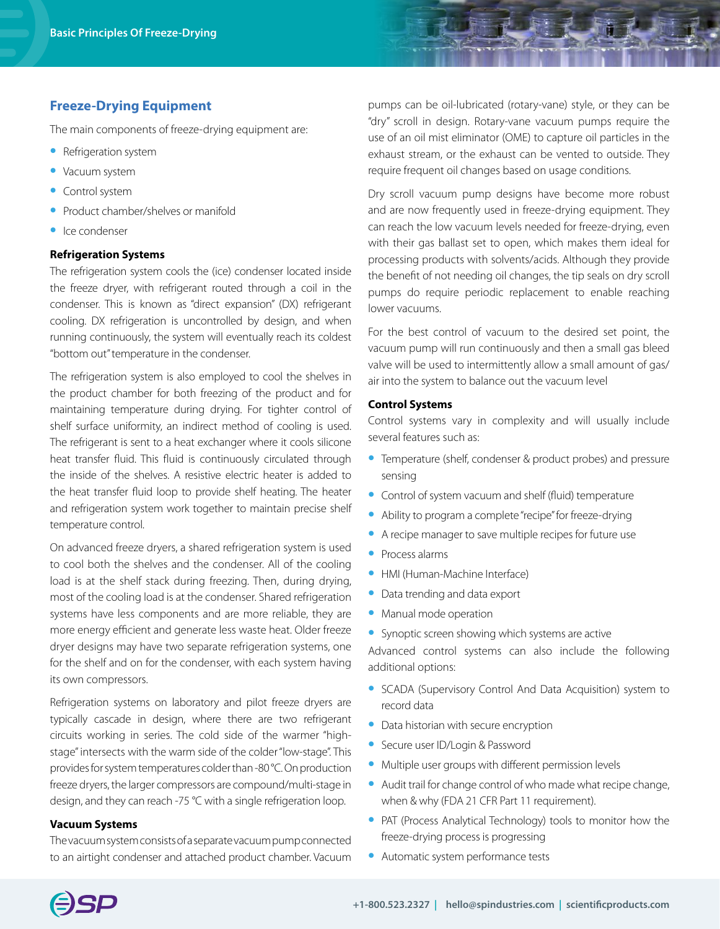## **Freeze-Drying Equipment**

The main components of freeze-drying equipment are:

- **•** Refrigeration system
- **•** Vacuum system
- **•** Control system
- **•** Product chamber/shelves or manifold
- **•** Ice condenser

#### **Refrigeration Systems**

The refrigeration system cools the (ice) condenser located inside the freeze dryer, with refrigerant routed through a coil in the condenser. This is known as "direct expansion" (DX) refrigerant cooling. DX refrigeration is uncontrolled by design, and when running continuously, the system will eventually reach its coldest "bottom out" temperature in the condenser.

The refrigeration system is also employed to cool the shelves in the product chamber for both freezing of the product and for maintaining temperature during drying. For tighter control of shelf surface uniformity, an indirect method of cooling is used. The refrigerant is sent to a heat exchanger where it cools silicone heat transfer fluid. This fluid is continuously circulated through the inside of the shelves. A resistive electric heater is added to the heat transfer fluid loop to provide shelf heating. The heater and refrigeration system work together to maintain precise shelf temperature control.

On advanced freeze dryers, a shared refrigeration system is used to cool both the shelves and the condenser. All of the cooling load is at the shelf stack during freezing. Then, during drying, most of the cooling load is at the condenser. Shared refrigeration systems have less components and are more reliable, they are more energy efficient and generate less waste heat. Older freeze dryer designs may have two separate refrigeration systems, one for the shelf and on for the condenser, with each system having its own compressors.

Refrigeration systems on laboratory and pilot freeze dryers are typically cascade in design, where there are two refrigerant circuits working in series. The cold side of the warmer "highstage" intersects with the warm side of the colder "low-stage". This provides for system temperatures colder than -80 °C. On production freeze dryers, the larger compressors are compound/multi-stage in design, and they can reach -75 °C with a single refrigeration loop.

#### **Vacuum Systems**

The vacuum system consists of a separate vacuum pump connected to an airtight condenser and attached product chamber. Vacuum

pumps can be oil-lubricated (rotary-vane) style, or they can be "dry" scroll in design. Rotary-vane vacuum pumps require the use of an oil mist eliminator (OME) to capture oil particles in the exhaust stream, or the exhaust can be vented to outside. They require frequent oil changes based on usage conditions.

Dry scroll vacuum pump designs have become more robust and are now frequently used in freeze-drying equipment. They can reach the low vacuum levels needed for freeze-drying, even with their gas ballast set to open, which makes them ideal for processing products with solvents/acids. Although they provide the benefit of not needing oil changes, the tip seals on dry scroll pumps do require periodic replacement to enable reaching lower vacuums.

For the best control of vacuum to the desired set point, the vacuum pump will run continuously and then a small gas bleed valve will be used to intermittently allow a small amount of gas/ air into the system to balance out the vacuum level

#### **Control Systems**

Control systems vary in complexity and will usually include several features such as:

- **•** Temperature (shelf, condenser & product probes) and pressure sensing
- **•** Control of system vacuum and shelf (fluid) temperature
- **•** Ability to program a complete "recipe" for freeze-drying
- **•** A recipe manager to save multiple recipes for future use
- **•** Process alarms
- **•** HMI (Human-Machine Interface)
- **•** Data trending and data export
- **•** Manual mode operation
- **•** Synoptic screen showing which systems are active

Advanced control systems can also include the following additional options:

- **•** SCADA (Supervisory Control And Data Acquisition) system to record data
- **•** Data historian with secure encryption
- **•** Secure user ID/Login & Password
- **•** Multiple user groups with different permission levels
- **•** Audit trail for change control of who made what recipe change, when & why (FDA 21 CFR Part 11 requirement).
- **•** PAT (Process Analytical Technology) tools to monitor how the freeze-drying process is progressing
- **•** Automatic system performance tests

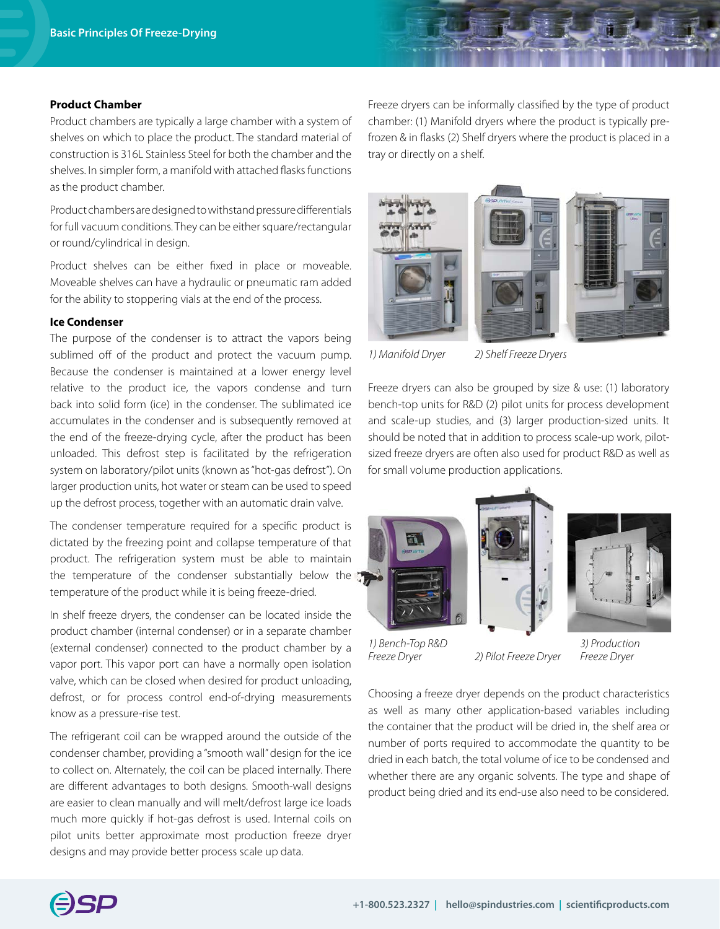#### **Product Chamber**

Product chambers are typically a large chamber with a system of shelves on which to place the product. The standard material of construction is 316L Stainless Steel for both the chamber and the shelves. In simpler form, a manifold with attached flasks functions as the product chamber.

Product chambers are designed to withstand pressure differentials for full vacuum conditions. They can be either square/rectangular or round/cylindrical in design.

Product shelves can be either fixed in place or moveable. Moveable shelves can have a hydraulic or pneumatic ram added for the ability to stoppering vials at the end of the process.

#### **Ice Condenser**

The purpose of the condenser is to attract the vapors being sublimed off of the product and protect the vacuum pump. Because the condenser is maintained at a lower energy level relative to the product ice, the vapors condense and turn back into solid form (ice) in the condenser. The sublimated ice accumulates in the condenser and is subsequently removed at the end of the freeze-drying cycle, after the product has been unloaded. This defrost step is facilitated by the refrigeration system on laboratory/pilot units (known as "hot-gas defrost"). On larger production units, hot water or steam can be used to speed up the defrost process, together with an automatic drain valve.

The condenser temperature required for a specific product is dictated by the freezing point and collapse temperature of that product. The refrigeration system must be able to maintain the temperature of the condenser substantially below the temperature of the product while it is being freeze-dried.

In shelf freeze dryers, the condenser can be located inside the product chamber (internal condenser) or in a separate chamber (external condenser) connected to the product chamber by a vapor port. This vapor port can have a normally open isolation valve, which can be closed when desired for product unloading, defrost, or for process control end-of-drying measurements know as a pressure-rise test.

The refrigerant coil can be wrapped around the outside of the condenser chamber, providing a "smooth wall" design for the ice to collect on. Alternately, the coil can be placed internally. There are different advantages to both designs. Smooth-wall designs are easier to clean manually and will melt/defrost large ice loads much more quickly if hot-gas defrost is used. Internal coils on pilot units better approximate most production freeze dryer designs and may provide better process scale up data.

Freeze dryers can be informally classified by the type of product chamber: (1) Manifold dryers where the product is typically prefrozen & in flasks (2) Shelf dryers where the product is placed in a tray or directly on a shelf.







*1) Manifold Dryer*

*2) Shelf Freeze Dryers*

Freeze dryers can also be grouped by size & use: (1) laboratory bench-top units for R&D (2) pilot units for process development and scale-up studies, and (3) larger production-sized units. It should be noted that in addition to process scale-up work, pilotsized freeze dryers are often also used for product R&D as well as for small volume production applications.







*1) Bench-Top R&D Freeze Dryer*

*2) Pilot Freeze Dryer Freeze Dryer*

*3) Production*

Choosing a freeze dryer depends on the product characteristics as well as many other application-based variables including the container that the product will be dried in, the shelf area or number of ports required to accommodate the quantity to be dried in each batch, the total volume of ice to be condensed and whether there are any organic solvents. The type and shape of product being dried and its end-use also need to be considered.

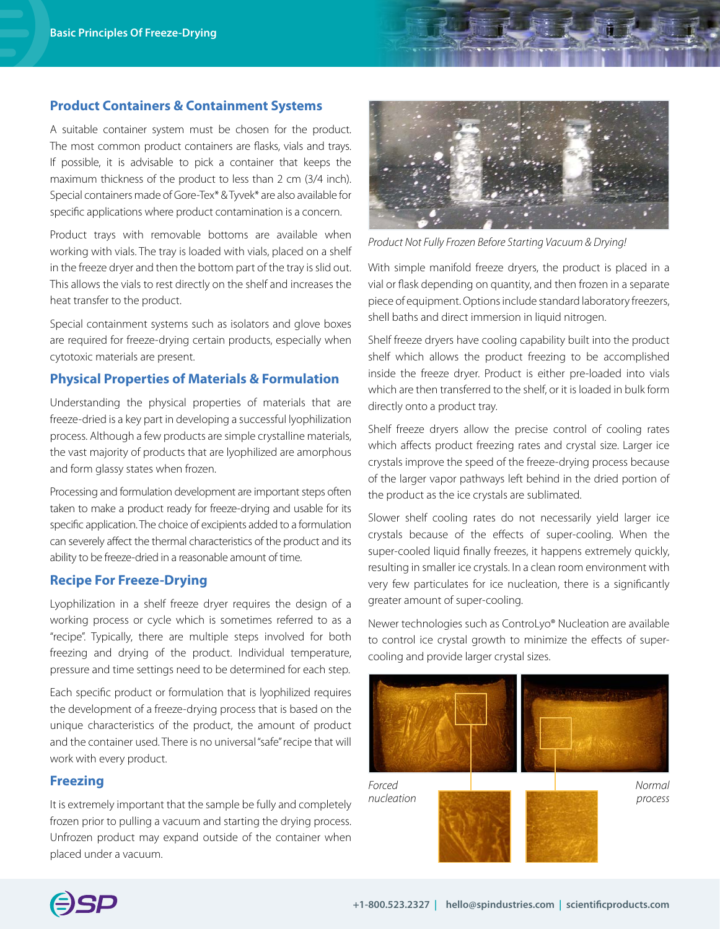#### **Product Containers & Containment Systems**

A suitable container system must be chosen for the product. The most common product containers are flasks, vials and trays. If possible, it is advisable to pick a container that keeps the maximum thickness of the product to less than 2 cm (3/4 inch). Special containers made of Gore-Tex\* & Tyvek\* are also available for specific applications where product contamination is a concern.

Product trays with removable bottoms are available when working with vials. The tray is loaded with vials, placed on a shelf in the freeze dryer and then the bottom part of the tray is slid out. This allows the vials to rest directly on the shelf and increases the heat transfer to the product.

Special containment systems such as isolators and glove boxes are required for freeze-drying certain products, especially when cytotoxic materials are present.

#### **Physical Properties of Materials & Formulation**

Understanding the physical properties of materials that are freeze-dried is a key part in developing a successful lyophilization process. Although a few products are simple crystalline materials, the vast majority of products that are lyophilized are amorphous and form glassy states when frozen.

Processing and formulation development are important steps often taken to make a product ready for freeze-drying and usable for its specific application. The choice of excipients added to a formulation can severely affect the thermal characteristics of the product and its ability to be freeze-dried in a reasonable amount of time.

### **Recipe For Freeze-Drying**

Lyophilization in a shelf freeze dryer requires the design of a working process or cycle which is sometimes referred to as a "recipe". Typically, there are multiple steps involved for both freezing and drying of the product. Individual temperature, pressure and time settings need to be determined for each step.

Each specific product or formulation that is lyophilized requires the development of a freeze-drying process that is based on the unique characteristics of the product, the amount of product and the container used. There is no universal "safe" recipe that will work with every product.

## **Freezing**

It is extremely important that the sample be fully and completely frozen prior to pulling a vacuum and starting the drying process. Unfrozen product may expand outside of the container when placed under a vacuum.



*Product Not Fully Frozen Before Starting Vacuum & Drying!*

With simple manifold freeze dryers, the product is placed in a vial or flask depending on quantity, and then frozen in a separate piece of equipment. Options include standard laboratory freezers, shell baths and direct immersion in liquid nitrogen.

Shelf freeze dryers have cooling capability built into the product shelf which allows the product freezing to be accomplished inside the freeze dryer. Product is either pre-loaded into vials which are then transferred to the shelf, or it is loaded in bulk form directly onto a product tray.

Shelf freeze dryers allow the precise control of cooling rates which affects product freezing rates and crystal size. Larger ice crystals improve the speed of the freeze-drying process because of the larger vapor pathways left behind in the dried portion of the product as the ice crystals are sublimated.

Slower shelf cooling rates do not necessarily yield larger ice crystals because of the effects of super-cooling. When the super-cooled liquid finally freezes, it happens extremely quickly, resulting in smaller ice crystals. In a clean room environment with very few particulates for ice nucleation, there is a significantly greater amount of super-cooling.

Newer technologies such as ControLyo® Nucleation are available to control ice crystal growth to minimize the effects of supercooling and provide larger crystal sizes.



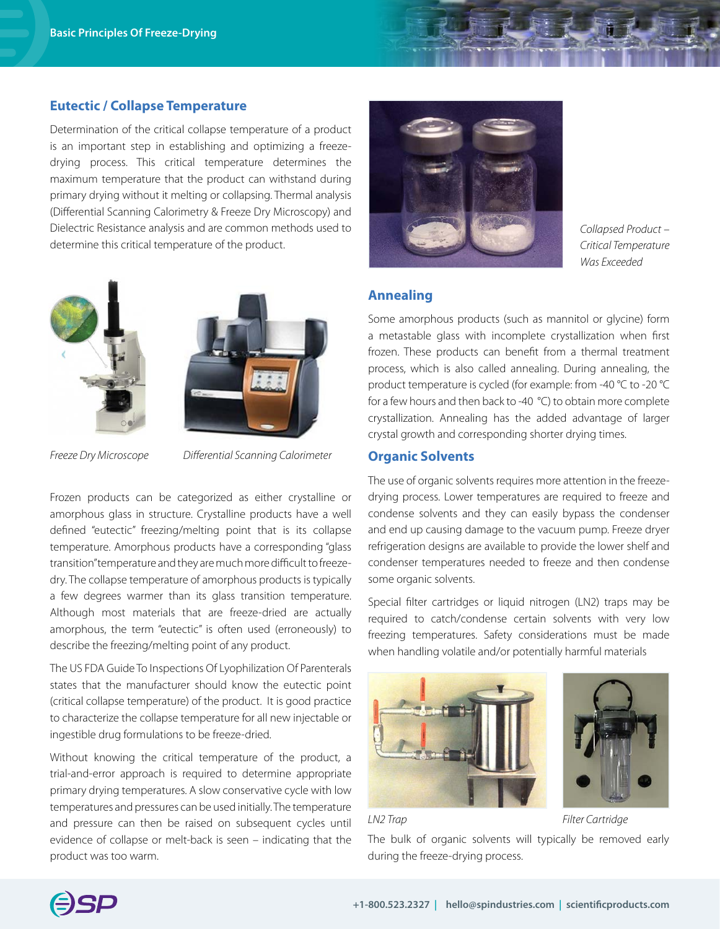#### **Eutectic / Collapse Temperature**

Determination of the critical collapse temperature of a product is an important step in establishing and optimizing a freezedrying process. This critical temperature determines the maximum temperature that the product can withstand during primary drying without it melting or collapsing. Thermal analysis (Differential Scanning Calorimetry & Freeze Dry Microscopy) and Dielectric Resistance analysis and are common methods used to determine this critical temperature of the product.





*Freeze Dry Microscope Differential Scanning Calorimeter*

Frozen products can be categorized as either crystalline or amorphous glass in structure. Crystalline products have a well defined "eutectic" freezing/melting point that is its collapse temperature. Amorphous products have a corresponding "glass transition" temperature and they are much more difficult to freezedry. The collapse temperature of amorphous products is typically a few degrees warmer than its glass transition temperature. Although most materials that are freeze-dried are actually amorphous, the term "eutectic" is often used (erroneously) to describe the freezing/melting point of any product.

The US FDA Guide To Inspections Of Lyophilization Of Parenterals states that the manufacturer should know the eutectic point (critical collapse temperature) of the product. It is good practice to characterize the collapse temperature for all new injectable or ingestible drug formulations to be freeze-dried.

Without knowing the critical temperature of the product, a trial-and-error approach is required to determine appropriate primary drying temperatures. A slow conservative cycle with low temperatures and pressures can be used initially. The temperature and pressure can then be raised on subsequent cycles until evidence of collapse or melt-back is seen – indicating that the product was too warm.



*Collapsed Product – Critical Temperature Was Exceeded*

# **Annealing**

Some amorphous products (such as mannitol or glycine) form a metastable glass with incomplete crystallization when first frozen. These products can benefit from a thermal treatment process, which is also called annealing. During annealing, the product temperature is cycled (for example: from -40 °C to -20 °C for a few hours and then back to -40 °C) to obtain more complete crystallization. Annealing has the added advantage of larger crystal growth and corresponding shorter drying times.

## **Organic Solvents**

The use of organic solvents requires more attention in the freezedrying process. Lower temperatures are required to freeze and condense solvents and they can easily bypass the condenser and end up causing damage to the vacuum pump. Freeze dryer refrigeration designs are available to provide the lower shelf and condenser temperatures needed to freeze and then condense some organic solvents.

Special filter cartridges or liquid nitrogen (LN2) traps may be required to catch/condense certain solvents with very low freezing temperatures. Safety considerations must be made when handling volatile and/or potentially harmful materials





*LN2 Trap Filter Cartridge*

The bulk of organic solvents will typically be removed early during the freeze-drying process.

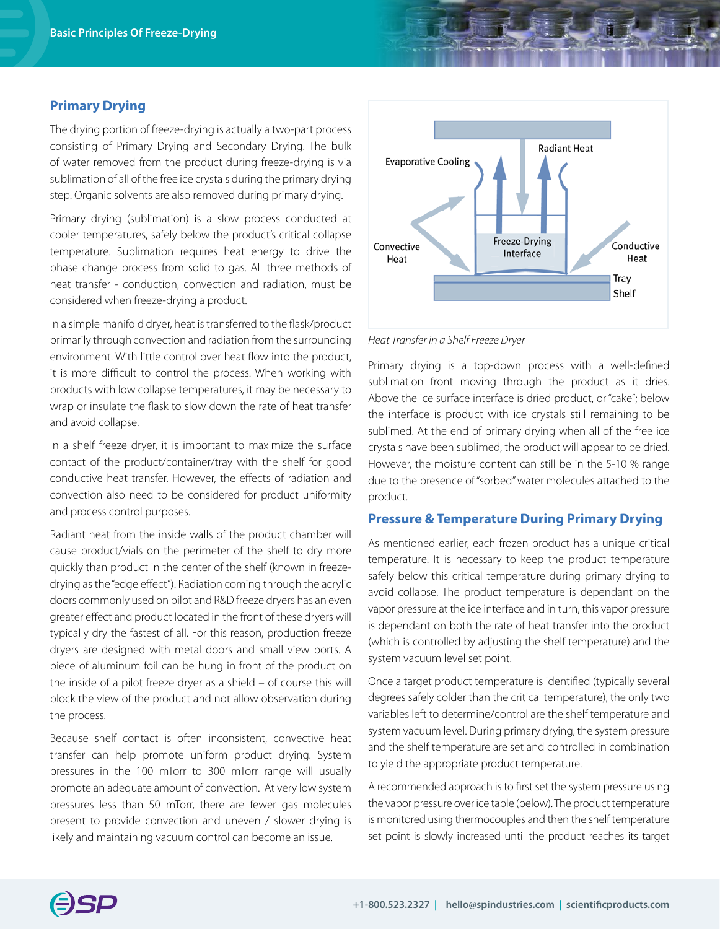#### **Primary Drying**

The drying portion of freeze-drying is actually a two-part process consisting of Primary Drying and Secondary Drying. The bulk of water removed from the product during freeze-drying is via sublimation of all of the free ice crystals during the primary drying step. Organic solvents are also removed during primary drying.

Primary drying (sublimation) is a slow process conducted at cooler temperatures, safely below the product's critical collapse temperature. Sublimation requires heat energy to drive the phase change process from solid to gas. All three methods of heat transfer - conduction, convection and radiation, must be considered when freeze-drying a product.

In a simple manifold dryer, heat is transferred to the flask/product primarily through convection and radiation from the surrounding environment. With little control over heat flow into the product, it is more difficult to control the process. When working with products with low collapse temperatures, it may be necessary to wrap or insulate the flask to slow down the rate of heat transfer and avoid collapse.

In a shelf freeze dryer, it is important to maximize the surface contact of the product/container/tray with the shelf for good conductive heat transfer. However, the effects of radiation and convection also need to be considered for product uniformity and process control purposes.

Radiant heat from the inside walls of the product chamber will cause product/vials on the perimeter of the shelf to dry more quickly than product in the center of the shelf (known in freezedrying as the "edge effect"). Radiation coming through the acrylic doors commonly used on pilot and R&D freeze dryers has an even greater effect and product located in the front of these dryers will typically dry the fastest of all. For this reason, production freeze dryers are designed with metal doors and small view ports. A piece of aluminum foil can be hung in front of the product on the inside of a pilot freeze dryer as a shield – of course this will block the view of the product and not allow observation during the process.

Because shelf contact is often inconsistent, convective heat transfer can help promote uniform product drying. System pressures in the 100 mTorr to 300 mTorr range will usually promote an adequate amount of convection. At very low system pressures less than 50 mTorr, there are fewer gas molecules present to provide convection and uneven / slower drying is likely and maintaining vacuum control can become an issue.



*Heat Transfer in a Shelf Freeze Dryer* 

Primary drying is a top-down process with a well-defined sublimation front moving through the product as it dries. Above the ice surface interface is dried product, or "cake"; below the interface is product with ice crystals still remaining to be sublimed. At the end of primary drying when all of the free ice crystals have been sublimed, the product will appear to be dried. However, the moisture content can still be in the 5-10 % range due to the presence of "sorbed" water molecules attached to the product.

## **Pressure & Temperature During Primary Drying**

As mentioned earlier, each frozen product has a unique critical temperature. It is necessary to keep the product temperature safely below this critical temperature during primary drying to avoid collapse. The product temperature is dependant on the vapor pressure at the ice interface and in turn, this vapor pressure is dependant on both the rate of heat transfer into the product (which is controlled by adjusting the shelf temperature) and the system vacuum level set point.

Once a target product temperature is identified (typically several degrees safely colder than the critical temperature), the only two variables left to determine/control are the shelf temperature and system vacuum level. During primary drying, the system pressure and the shelf temperature are set and controlled in combination to yield the appropriate product temperature.

A recommended approach is to first set the system pressure using the vapor pressure over ice table (below). The product temperature is monitored using thermocouples and then the shelf temperature set point is slowly increased until the product reaches its target

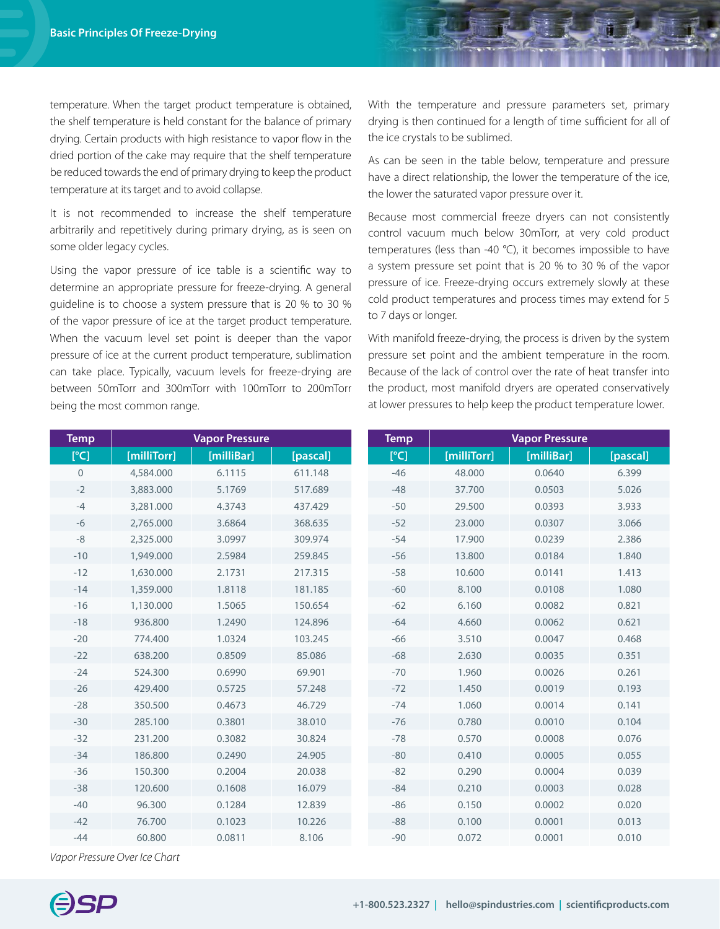temperature. When the target product temperature is obtained, the shelf temperature is held constant for the balance of primary drying. Certain products with high resistance to vapor flow in the dried portion of the cake may require that the shelf temperature be reduced towards the end of primary drying to keep the product temperature at its target and to avoid collapse.

It is not recommended to increase the shelf temperature arbitrarily and repetitively during primary drying, as is seen on some older legacy cycles.

Using the vapor pressure of ice table is a scientific way to determine an appropriate pressure for freeze-drying. A general guideline is to choose a system pressure that is 20 % to 30 % of the vapor pressure of ice at the target product temperature. When the vacuum level set point is deeper than the vapor pressure of ice at the current product temperature, sublimation can take place. Typically, vacuum levels for freeze-drying are between 50mTorr and 300mTorr with 100mTorr to 200mTorr being the most common range.

With the temperature and pressure parameters set, primary drying is then continued for a length of time sufficient for all of the ice crystals to be sublimed.

As can be seen in the table below, temperature and pressure have a direct relationship, the lower the temperature of the ice, the lower the saturated vapor pressure over it.

Because most commercial freeze dryers can not consistently control vacuum much below 30mTorr, at very cold product temperatures (less than -40 °C), it becomes impossible to have a system pressure set point that is 20 % to 30 % of the vapor pressure of ice. Freeze-drying occurs extremely slowly at these cold product temperatures and process times may extend for 5 to 7 days or longer.

With manifold freeze-drying, the process is driven by the system pressure set point and the ambient temperature in the room. Because of the lack of control over the rate of heat transfer into the product, most manifold dryers are operated conservatively at lower pressures to help keep the product temperature lower.

| <b>Temp</b>  | <b>Vapor Pressure</b> |            |          | Temp  | <b>Vapor Pressure</b> |            |          |
|--------------|-----------------------|------------|----------|-------|-----------------------|------------|----------|
| [°C]         | [milliTorr]           | [milliBar] | [pascal] | [°C]  | [milliTorr]           | [milliBar] | [pascal] |
| $\mathbf{0}$ | 4,584.000             | 6.1115     | 611.148  | $-46$ | 48.000                | 0.0640     | 6.399    |
| $-2$         | 3,883.000             | 5.1769     | 517.689  | $-48$ | 37.700                | 0.0503     | 5.026    |
| $-4$         | 3,281.000             | 4.3743     | 437.429  | $-50$ | 29.500                | 0.0393     | 3.933    |
| $-6$         | 2,765.000             | 3.6864     | 368.635  | $-52$ | 23.000                | 0.0307     | 3.066    |
| $-8$         | 2,325.000             | 3.0997     | 309.974  | $-54$ | 17.900                | 0.0239     | 2.386    |
| $-10$        | 1,949.000             | 2.5984     | 259.845  | $-56$ | 13.800                | 0.0184     | 1.840    |
| $-12$        | 1,630.000             | 2.1731     | 217.315  | $-58$ | 10.600                | 0.0141     | 1.413    |
| $-14$        | 1,359.000             | 1.8118     | 181.185  | $-60$ | 8.100                 | 0.0108     | 1.080    |
| $-16$        | 1,130.000             | 1.5065     | 150.654  | $-62$ | 6.160                 | 0.0082     | 0.821    |
| $-18$        | 936.800               | 1.2490     | 124.896  | $-64$ | 4.660                 | 0.0062     | 0.621    |
| $-20$        | 774.400               | 1.0324     | 103.245  | $-66$ | 3.510                 | 0.0047     | 0.468    |
| $-22$        | 638.200               | 0.8509     | 85.086   | $-68$ | 2.630                 | 0.0035     | 0.351    |
| $-24$        | 524.300               | 0.6990     | 69.901   | $-70$ | 1.960                 | 0.0026     | 0.261    |
| $-26$        | 429.400               | 0.5725     | 57.248   | $-72$ | 1.450                 | 0.0019     | 0.193    |
| $-28$        | 350.500               | 0.4673     | 46.729   | $-74$ | 1.060                 | 0.0014     | 0.141    |
| $-30$        | 285.100               | 0.3801     | 38.010   | $-76$ | 0.780                 | 0.0010     | 0.104    |
| $-32$        | 231.200               | 0.3082     | 30.824   | $-78$ | 0.570                 | 0.0008     | 0.076    |
| $-34$        | 186.800               | 0.2490     | 24.905   | $-80$ | 0.410                 | 0.0005     | 0.055    |
| $-36$        | 150.300               | 0.2004     | 20.038   | $-82$ | 0.290                 | 0.0004     | 0.039    |
| $-38$        | 120.600               | 0.1608     | 16.079   | $-84$ | 0.210                 | 0.0003     | 0.028    |
| $-40$        | 96.300                | 0.1284     | 12.839   | $-86$ | 0.150                 | 0.0002     | 0.020    |
| $-42$        | 76.700                | 0.1023     | 10.226   | $-88$ | 0.100                 | 0.0001     | 0.013    |
| $-44$        | 60.800                | 0.0811     | 8.106    | $-90$ | 0.072                 | 0.0001     | 0.010    |

*Vapor Pressure Over Ice Chart*

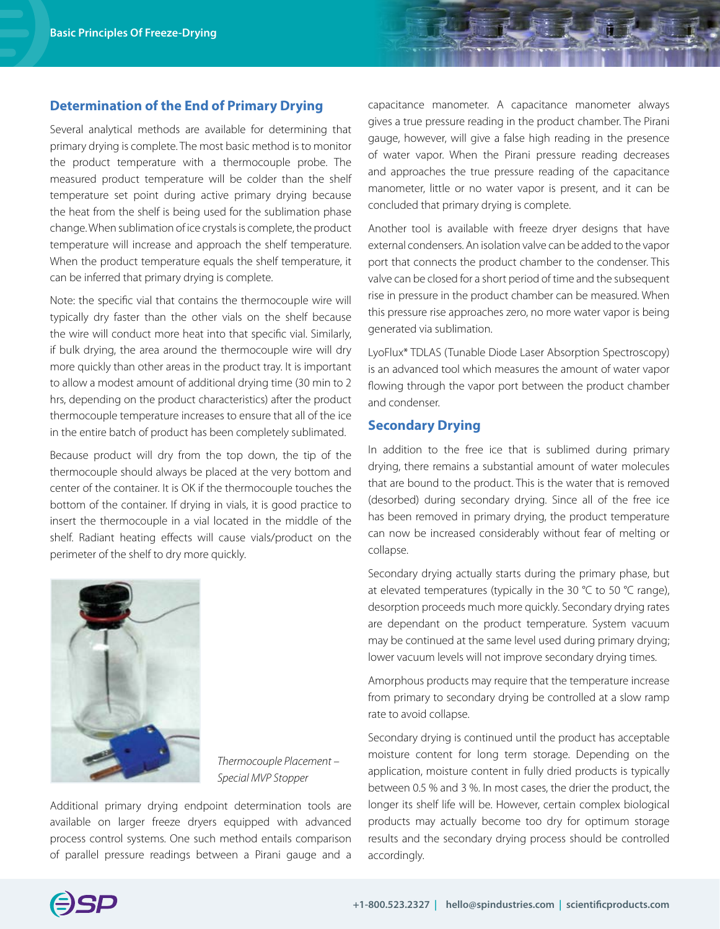### **Determination of the End of Primary Drying**

Several analytical methods are available for determining that primary drying is complete. The most basic method is to monitor the product temperature with a thermocouple probe. The measured product temperature will be colder than the shelf temperature set point during active primary drying because the heat from the shelf is being used for the sublimation phase change. When sublimation of ice crystals is complete, the product temperature will increase and approach the shelf temperature. When the product temperature equals the shelf temperature, it can be inferred that primary drying is complete.

Note: the specific vial that contains the thermocouple wire will typically dry faster than the other vials on the shelf because the wire will conduct more heat into that specific vial. Similarly, if bulk drying, the area around the thermocouple wire will dry more quickly than other areas in the product tray. It is important to allow a modest amount of additional drying time (30 min to 2 hrs, depending on the product characteristics) after the product thermocouple temperature increases to ensure that all of the ice in the entire batch of product has been completely sublimated.

Because product will dry from the top down, the tip of the thermocouple should always be placed at the very bottom and center of the container. It is OK if the thermocouple touches the bottom of the container. If drying in vials, it is good practice to insert the thermocouple in a vial located in the middle of the shelf. Radiant heating effects will cause vials/product on the perimeter of the shelf to dry more quickly.



*Thermocouple Placement – Special MVP Stopper* 

Additional primary drying endpoint determination tools are available on larger freeze dryers equipped with advanced process control systems. One such method entails comparison of parallel pressure readings between a Pirani gauge and a

capacitance manometer. A capacitance manometer always gives a true pressure reading in the product chamber. The Pirani gauge, however, will give a false high reading in the presence of water vapor. When the Pirani pressure reading decreases and approaches the true pressure reading of the capacitance manometer, little or no water vapor is present, and it can be concluded that primary drying is complete.

Another tool is available with freeze dryer designs that have external condensers. An isolation valve can be added to the vapor port that connects the product chamber to the condenser. This valve can be closed for a short period of time and the subsequent rise in pressure in the product chamber can be measured. When this pressure rise approaches zero, no more water vapor is being generated via sublimation.

LyoFlux\* TDLAS (Tunable Diode Laser Absorption Spectroscopy) is an advanced tool which measures the amount of water vapor flowing through the vapor port between the product chamber and condenser.

## **Secondary Drying**

In addition to the free ice that is sublimed during primary drying, there remains a substantial amount of water molecules that are bound to the product. This is the water that is removed (desorbed) during secondary drying. Since all of the free ice has been removed in primary drying, the product temperature can now be increased considerably without fear of melting or collapse.

Secondary drying actually starts during the primary phase, but at elevated temperatures (typically in the 30 °C to 50 °C range), desorption proceeds much more quickly. Secondary drying rates are dependant on the product temperature. System vacuum may be continued at the same level used during primary drying; lower vacuum levels will not improve secondary drying times.

Amorphous products may require that the temperature increase from primary to secondary drying be controlled at a slow ramp rate to avoid collapse.

Secondary drying is continued until the product has acceptable moisture content for long term storage. Depending on the application, moisture content in fully dried products is typically between 0.5 % and 3 %. In most cases, the drier the product, the longer its shelf life will be. However, certain complex biological products may actually become too dry for optimum storage results and the secondary drying process should be controlled accordingly.